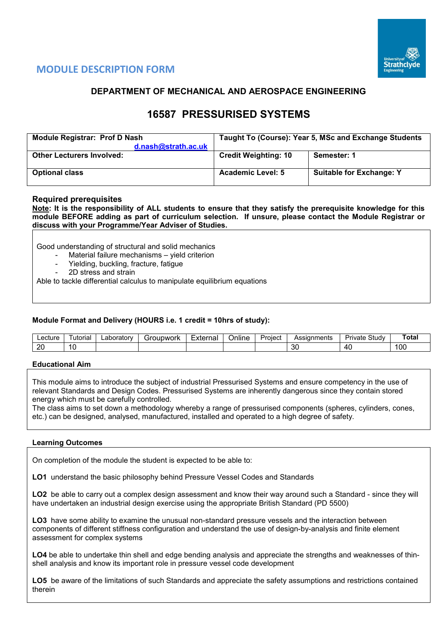

# **MODULE DESCRIPTION FORM**

## **DEPARTMENT OF MECHANICAL AND AEROSPACE ENGINEERING**

# **16587 PRESSURISED SYSTEMS**

| <b>Module Registrar: Prof D Nash</b><br>d.nash@strath.ac.uk | Taught To (Course): Year 5, MSc and Exchange Students |                                 |  |  |  |  |  |
|-------------------------------------------------------------|-------------------------------------------------------|---------------------------------|--|--|--|--|--|
| <b>Other Lecturers Involved:</b>                            | <b>Credit Weighting: 10</b>                           | Semester: 1                     |  |  |  |  |  |
| <b>Optional class</b>                                       | <b>Academic Level: 5</b>                              | <b>Suitable for Exchange: Y</b> |  |  |  |  |  |

## **Required prerequisites**

**Note: It is the responsibility of ALL students to ensure that they satisfy the prerequisite knowledge for this module BEFORE adding as part of curriculum selection. If unsure, please contact the Module Registrar or discuss with your Programme/Year Adviser of Studies.** 

Good understanding of structural and solid mechanics

- Material failure mechanisms yield criterion
- Yielding, buckling, fracture, fatigue
- 2D stress and strain

Able to tackle differential calculus to manipulate equilibrium equations

## **Module Format and Delivery (HOURS i.e. 1 credit = 10hrs of study):**

| ecture  | utorial | .aboratorv | <del>i</del> roupwork<br>ור | External | Proiect<br><b>Jnline</b> |  | Assianments | $\sim$<br>Studv<br>تتطلب<br><b>IVate</b> | Tota. |
|---------|---------|------------|-----------------------------|----------|--------------------------|--|-------------|------------------------------------------|-------|
| or<br>∼ |         |            |                             |          |                          |  | n,<br>υc    | 40                                       | '00   |

#### **Educational Aim**

This module aims to introduce the subject of industrial Pressurised Systems and ensure competency in the use of relevant Standards and Design Codes. Pressurised Systems are inherently dangerous since they contain stored energy which must be carefully controlled.

The class aims to set down a methodology whereby a range of pressurised components (spheres, cylinders, cones, etc.) can be designed, analysed, manufactured, installed and operated to a high degree of safety.

#### **Learning Outcomes**

On completion of the module the student is expected to be able to:

**LO1** understand the basic philosophy behind Pressure Vessel Codes and Standards

**LO2** be able to carry out a complex design assessment and know their way around such a Standard - since they will have undertaken an industrial design exercise using the appropriate British Standard (PD 5500)

**LO3** have some ability to examine the unusual non-standard pressure vessels and the interaction between components of different stiffness configuration and understand the use of design-by-analysis and finite element assessment for complex systems

**LO4** be able to undertake thin shell and edge bending analysis and appreciate the strengths and weaknesses of thinshell analysis and know its important role in pressure vessel code development

**LO5** be aware of the limitations of such Standards and appreciate the safety assumptions and restrictions contained therein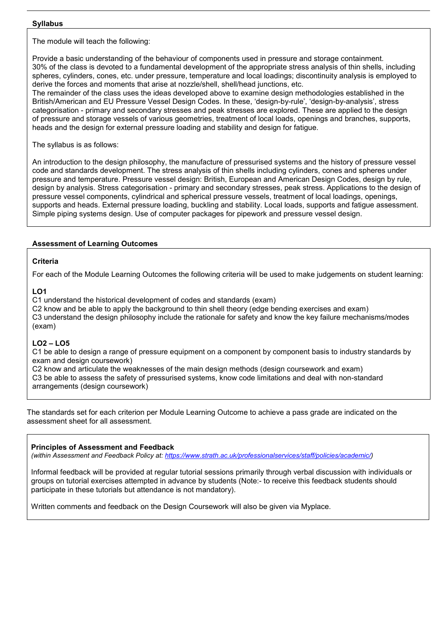#### **Syllabus**

The module will teach the following:

Provide a basic understanding of the behaviour of components used in pressure and storage containment. 30% of the class is devoted to a fundamental development of the appropriate stress analysis of thin shells, including spheres, cylinders, cones, etc. under pressure, temperature and local loadings; discontinuity analysis is employed to derive the forces and moments that arise at nozzle/shell, shell/head junctions, etc.

The remainder of the class uses the ideas developed above to examine design methodologies established in the British/American and EU Pressure Vessel Design Codes. In these, 'design-by-rule', 'design-by-analysis', stress categorisation - primary and secondary stresses and peak stresses are explored. These are applied to the design of pressure and storage vessels of various geometries, treatment of local loads, openings and branches, supports, heads and the design for external pressure loading and stability and design for fatigue.

The syllabus is as follows:

An introduction to the design philosophy, the manufacture of pressurised systems and the history of pressure vessel code and standards development. The stress analysis of thin shells including cylinders, cones and spheres under pressure and temperature. Pressure vessel design: British, European and American Design Codes, design by rule, design by analysis. Stress categorisation - primary and secondary stresses, peak stress. Applications to the design of pressure vessel components, cylindrical and spherical pressure vessels, treatment of local loadings, openings, supports and heads. External pressure loading, buckling and stability. Local loads, supports and fatigue assessment. Simple piping systems design. Use of computer packages for pipework and pressure vessel design.

## **Assessment of Learning Outcomes**

## **Criteria**

For each of the Module Learning Outcomes the following criteria will be used to make judgements on student learning:

## **LO1**

C1 understand the historical development of codes and standards (exam)

C2 know and be able to apply the background to thin shell theory (edge bending exercises and exam) C3 understand the design philosophy include the rationale for safety and know the key failure mechanisms/modes (exam)

## **LO2 – LO5**

C1 be able to design a range of pressure equipment on a component by component basis to industry standards by exam and design coursework)

C2 know and articulate the weaknesses of the main design methods (design coursework and exam) C3 be able to assess the safety of pressurised systems, know code limitations and deal with non-standard arrangements (design coursework)

The standards set for each criterion per Module Learning Outcome to achieve a pass grade are indicated on the assessment sheet for all assessment.

## **Principles of Assessment and Feedback**

*(within Assessment and Feedback Policy at: [https://www.strath.ac.uk/professionalservices/staff/policies/academic/\)](https://www.strath.ac.uk/professionalservices/staff/policies/academic/)*

Informal feedback will be provided at regular tutorial sessions primarily through verbal discussion with individuals or groups on tutorial exercises attempted in advance by students (Note:- to receive this feedback students should participate in these tutorials but attendance is not mandatory).

Written comments and feedback on the Design Coursework will also be given via Myplace.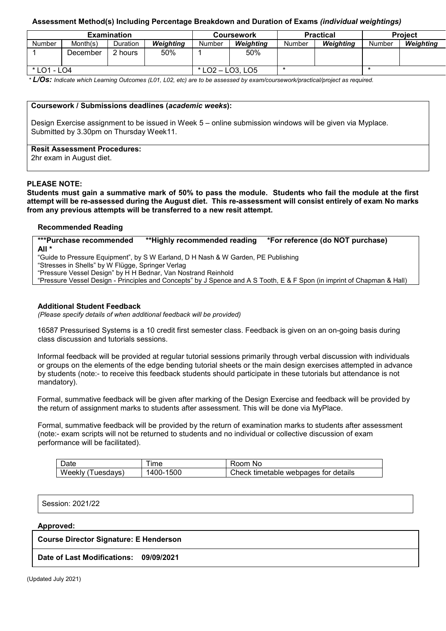## **Assessment Method(s) Including Percentage Breakdown and Duration of Exams** *(individual weightings)*

|             |          | <b>Examination</b> |           |                    | <b>Coursework</b> |        | <b>Practical</b> | <b>Project</b> |           |  |
|-------------|----------|--------------------|-----------|--------------------|-------------------|--------|------------------|----------------|-----------|--|
| Number      | Month(s) | <b>Duration</b>    | Weiahtina | Number             | Weiahtina         | Number | Weighting        | Number         | Weighting |  |
|             | December | 2 hours            | 50%       |                    | 50%               |        |                  |                |           |  |
| * LO1 - LO4 |          |                    |           | $*$ LO2 - LO3, LO5 |                   |        |                  |                |           |  |

*\* L/Os: Indicate which Learning Outcomes (L01, L02, etc) are to be assessed by exam/coursework/practical/project as required.*

#### **Coursework / Submissions deadlines (***academic weeks***):**

Design Exercise assignment to be issued in Week 5 – online submission windows will be given via Myplace. Submitted by 3.30pm on Thursday Week11.

#### **Resit Assessment Procedures:**

2hr exam in August diet.

#### **PLEASE NOTE:**

**Students must gain a summative mark of 50% to pass the module. Students who fail the module at the first attempt will be re-assessed during the August diet. This re-assessment will consist entirely of exam. No marks from any previous attempts will be transferred to a new resit attempt.**

#### **Recommended Reading**

**\*\*\*Purchase recommended \*\*Highly recommended reading \*For reference (do NOT purchase) All \*** "Guide to Pressure Equipment", by S W Earland, D H Nash & W Garden, PE Publishing "Stresses in Shells" by W Flügge, Springer Verlag

"Pressure Vessel Design" by H H Bednar, Van Nostrand Reinhold

"Pressure Vessel Design - Principles and Concepts" by J Spence and A S Tooth, E & F Spon (in imprint of Chapman & Hall)

#### **Additional Student Feedback**

*(Please specify details of when additional feedback will be provided)*

16587 Pressurised Systems is a 10 credit first semester class. Feedback is given on an on-going basis during class discussion and tutorials sessions.

Informal feedback will be provided at regular tutorial sessions primarily through verbal discussion with individuals or groups on the elements of the edge bending tutorial sheets or the main design exercises attempted in advance by students (note:- to receive this feedback students should participate in these tutorials but attendance is not mandatory).

Formal, summative feedback will be given after marking of the Design Exercise and feedback will be provided by the return of assignment marks to students after assessment. This will be done via MyPlace.

Formal, summative feedback will be provided by the return of examination marks to students after assessment (note:- exam scripts will not be returned to students and no individual or collective discussion of exam performance will be facilitated).

| $\overline{\phantom{0}}$<br>Jate | ıme          | <b>oom</b><br>NC                               |
|----------------------------------|--------------|------------------------------------------------|
| Weekly<br>uesdavs:               | 500<br>1400- | ∶details<br>:heck<br>webpages for<br>timetable |

| Session: 2021/22 |  |
|------------------|--|
|------------------|--|

#### **Approved:**

#### **Course Director Signature: E Henderson**

**Date of Last Modifications: 09/09/2021**